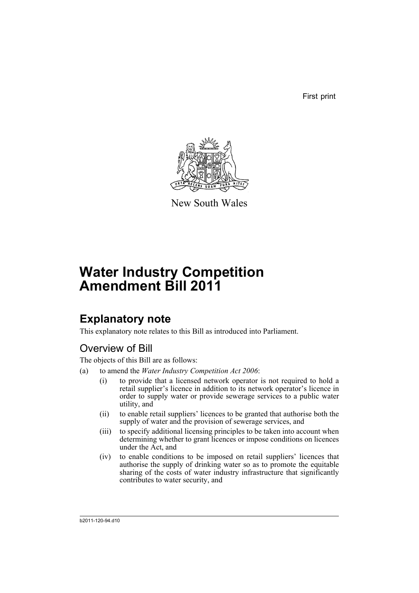First print



New South Wales

# **Water Industry Competition Amendment Bill 2011**

# **Explanatory note**

This explanatory note relates to this Bill as introduced into Parliament.

# Overview of Bill

The objects of this Bill are as follows:

- (a) to amend the *Water Industry Competition Act 2006*:
	- (i) to provide that a licensed network operator is not required to hold a retail supplier's licence in addition to its network operator's licence in order to supply water or provide sewerage services to a public water utility, and
	- (ii) to enable retail suppliers' licences to be granted that authorise both the supply of water and the provision of sewerage services, and
	- (iii) to specify additional licensing principles to be taken into account when determining whether to grant licences or impose conditions on licences under the Act, and
	- (iv) to enable conditions to be imposed on retail suppliers' licences that authorise the supply of drinking water so as to promote the equitable sharing of the costs of water industry infrastructure that significantly contributes to water security, and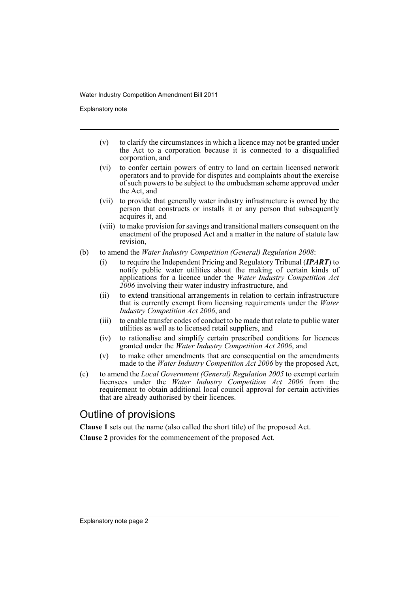Explanatory note

- (v) to clarify the circumstances in which a licence may not be granted under the Act to a corporation because it is connected to a disqualified corporation, and
- (vi) to confer certain powers of entry to land on certain licensed network operators and to provide for disputes and complaints about the exercise of such powers to be subject to the ombudsman scheme approved under the Act, and
- (vii) to provide that generally water industry infrastructure is owned by the person that constructs or installs it or any person that subsequently acquires it, and
- (viii) to make provision for savings and transitional matters consequent on the enactment of the proposed Act and a matter in the nature of statute law revision,
- (b) to amend the *Water Industry Competition (General) Regulation 2008*:
	- (i) to require the Independent Pricing and Regulatory Tribunal (*IPART*) to notify public water utilities about the making of certain kinds of applications for a licence under the *Water Industry Competition Act 2006* involving their water industry infrastructure, and
	- (ii) to extend transitional arrangements in relation to certain infrastructure that is currently exempt from licensing requirements under the *Water Industry Competition Act 2006*, and
	- (iii) to enable transfer codes of conduct to be made that relate to public water utilities as well as to licensed retail suppliers, and
	- (iv) to rationalise and simplify certain prescribed conditions for licences granted under the *Water Industry Competition Act 2006*, and
	- (v) to make other amendments that are consequential on the amendments made to the *Water Industry Competition Act 2006* by the proposed Act,
- (c) to amend the *Local Government (General) Regulation 2005* to exempt certain licensees under the *Water Industry Competition Act 2006* from the requirement to obtain additional local council approval for certain activities that are already authorised by their licences.

# Outline of provisions

**Clause 1** sets out the name (also called the short title) of the proposed Act.

**Clause 2** provides for the commencement of the proposed Act.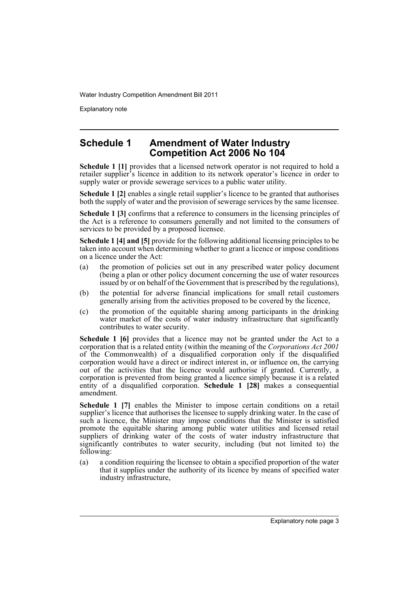Explanatory note

# **Schedule 1 Amendment of Water Industry Competition Act 2006 No 104**

**Schedule 1 [1]** provides that a licensed network operator is not required to hold a retailer supplier's licence in addition to its network operator's licence in order to supply water or provide sewerage services to a public water utility.

**Schedule 1 [2]** enables a single retail supplier's licence to be granted that authorises both the supply of water and the provision of sewerage services by the same licensee.

**Schedule 1 [3]** confirms that a reference to consumers in the licensing principles of the Act is a reference to consumers generally and not limited to the consumers of services to be provided by a proposed licensee.

**Schedule 1 [4] and [5]** provide for the following additional licensing principles to be taken into account when determining whether to grant a licence or impose conditions on a licence under the Act:

- (a) the promotion of policies set out in any prescribed water policy document (being a plan or other policy document concerning the use of water resources issued by or on behalf of the Government that is prescribed by the regulations),
- (b) the potential for adverse financial implications for small retail customers generally arising from the activities proposed to be covered by the licence,
- (c) the promotion of the equitable sharing among participants in the drinking water market of the costs of water industry infrastructure that significantly contributes to water security.

**Schedule 1 [6]** provides that a licence may not be granted under the Act to a corporation that is a related entity (within the meaning of the *Corporations Act 2001* of the Commonwealth) of a disqualified corporation only if the disqualified corporation would have a direct or indirect interest in, or influence on, the carrying out of the activities that the licence would authorise if granted. Currently, a corporation is prevented from being granted a licence simply because it is a related entity of a disqualified corporation. **Schedule 1 [28]** makes a consequential amendment.

**Schedule 1 [7]** enables the Minister to impose certain conditions on a retail supplier's licence that authorises the licensee to supply drinking water. In the case of such a licence, the Minister may impose conditions that the Minister is satisfied promote the equitable sharing among public water utilities and licensed retail suppliers of drinking water of the costs of water industry infrastructure that significantly contributes to water security, including (but not limited to) the following:

(a) a condition requiring the licensee to obtain a specified proportion of the water that it supplies under the authority of its licence by means of specified water industry infrastructure,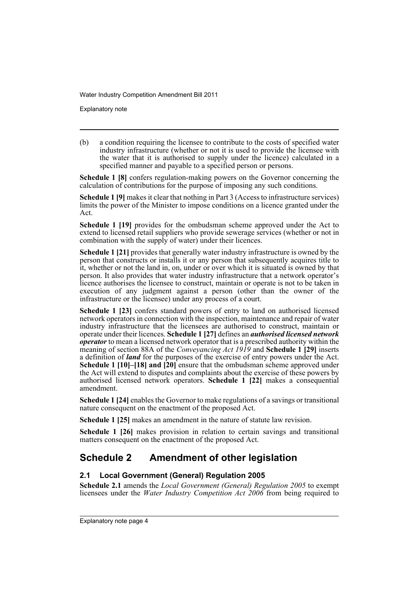Explanatory note

(b) a condition requiring the licensee to contribute to the costs of specified water industry infrastructure (whether or not it is used to provide the licensee with the water that it is authorised to supply under the licence) calculated in a specified manner and payable to a specified person or persons.

**Schedule 1 [8]** confers regulation-making powers on the Governor concerning the calculation of contributions for the purpose of imposing any such conditions.

**Schedule 1 [9]** makes it clear that nothing in Part 3 (Access to infrastructure services) limits the power of the Minister to impose conditions on a licence granted under the Act.

**Schedule 1 [19]** provides for the ombudsman scheme approved under the Act to extend to licensed retail suppliers who provide sewerage services (whether or not in combination with the supply of water) under their licences.

**Schedule 1 [21]** provides that generally water industry infrastructure is owned by the person that constructs or installs it or any person that subsequently acquires title to it, whether or not the land in, on, under or over which it is situated is owned by that person. It also provides that water industry infrastructure that a network operator's licence authorises the licensee to construct, maintain or operate is not to be taken in execution of any judgment against a person (other than the owner of the infrastructure or the licensee) under any process of a court.

**Schedule 1 [23]** confers standard powers of entry to land on authorised licensed network operators in connection with the inspection, maintenance and repair of water industry infrastructure that the licensees are authorised to construct, maintain or operate under their licences. **Schedule 1 [27]** defines an *authorised licensed network operator* to mean a licensed network operator that is a prescribed authority within the meaning of section 88A of the *Conveyancing Act 1919* and **Schedule 1 [29]** inserts a definition of *land* for the purposes of the exercise of entry powers under the Act. **Schedule 1 [10]–[18] and [20]** ensure that the ombudsman scheme approved under the Act will extend to disputes and complaints about the exercise of these powers by authorised licensed network operators. **Schedule 1 [22]** makes a consequential amendment.

**Schedule 1 [24]** enables the Governor to make regulations of a savings or transitional nature consequent on the enactment of the proposed Act.

**Schedule 1 [25]** makes an amendment in the nature of statute law revision.

**Schedule 1 [26]** makes provision in relation to certain savings and transitional matters consequent on the enactment of the proposed Act.

# **Schedule 2 Amendment of other legislation**

## **2.1 Local Government (General) Regulation 2005**

**Schedule 2.1** amends the *Local Government (General) Regulation 2005* to exempt licensees under the *Water Industry Competition Act 2006* from being required to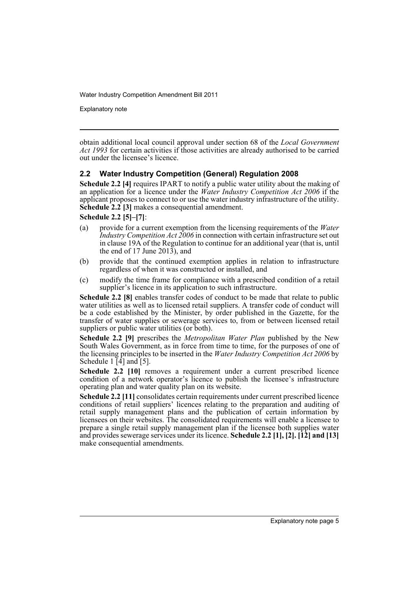Explanatory note

obtain additional local council approval under section 68 of the *Local Government Act 1993* for certain activities if those activities are already authorised to be carried out under the licensee's licence.

## **2.2 Water Industry Competition (General) Regulation 2008**

**Schedule 2.2 [4]** requires IPART to notify a public water utility about the making of an application for a licence under the *Water Industry Competition Act 2006* if the applicant proposes to connect to or use the water industry infrastructure of the utility. **Schedule 2.2 [3]** makes a consequential amendment.

**Schedule 2.2 [5]–[7]**:

- (a) provide for a current exemption from the licensing requirements of the *Water Industry Competition Act 2006* in connection with certain infrastructure set out in clause 19A of the Regulation to continue for an additional year (that is, until the end of 17 June 2013), and
- (b) provide that the continued exemption applies in relation to infrastructure regardless of when it was constructed or installed, and
- (c) modify the time frame for compliance with a prescribed condition of a retail supplier's licence in its application to such infrastructure.

**Schedule 2.2 [8]** enables transfer codes of conduct to be made that relate to public water utilities as well as to licensed retail suppliers. A transfer code of conduct will be a code established by the Minister, by order published in the Gazette, for the transfer of water supplies or sewerage services to, from or between licensed retail suppliers or public water utilities (or both).

**Schedule 2.2 [9]** prescribes the *Metropolitan Water Plan* published by the New South Wales Government, as in force from time to time, for the purposes of one of the licensing principles to be inserted in the *Water Industry Competition Act 2006* by Schedule 1  $\overline{4}$  and  $\overline{5}$ .

**Schedule 2.2 [10]** removes a requirement under a current prescribed licence condition of a network operator's licence to publish the licensee's infrastructure operating plan and water quality plan on its website.

**Schedule 2.2 [11]** consolidates certain requirements under current prescribed licence conditions of retail suppliers' licences relating to the preparation and auditing of retail supply management plans and the publication of certain information by licensees on their websites. The consolidated requirements will enable a licensee to prepare a single retail supply management plan if the licensee both supplies water and provides sewerage services under its licence. **Schedule 2.2 [1], [2]. [12] and [13]** make consequential amendments.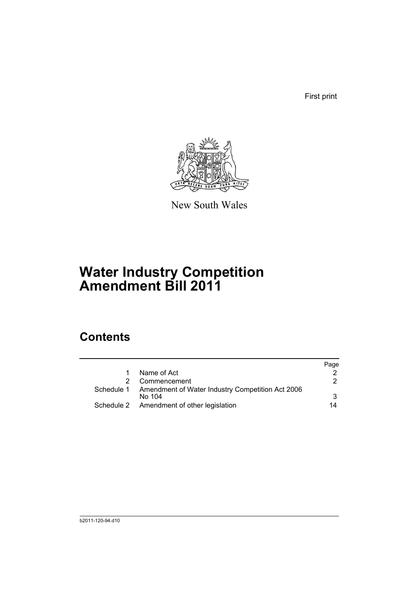First print



New South Wales

# **Water Industry Competition Amendment Bill 2011**

# **Contents**

|              |                                                             | Page |
|--------------|-------------------------------------------------------------|------|
| $\mathbf{1}$ | Name of Act                                                 |      |
|              | Commencement                                                | 2.   |
|              | Schedule 1 Amendment of Water Industry Competition Act 2006 |      |
|              | No 104                                                      | 3    |
|              | Schedule 2 Amendment of other legislation                   | 14   |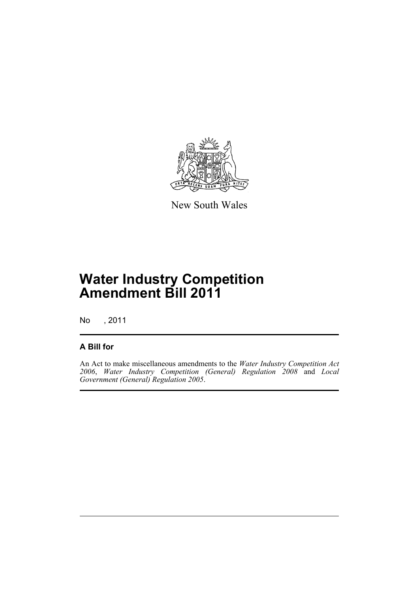

New South Wales

# **Water Industry Competition Amendment Bill 2011**

No , 2011

## **A Bill for**

An Act to make miscellaneous amendments to the *Water Industry Competition Act 2006*, *Water Industry Competition (General) Regulation 2008* and *Local Government (General) Regulation 2005*.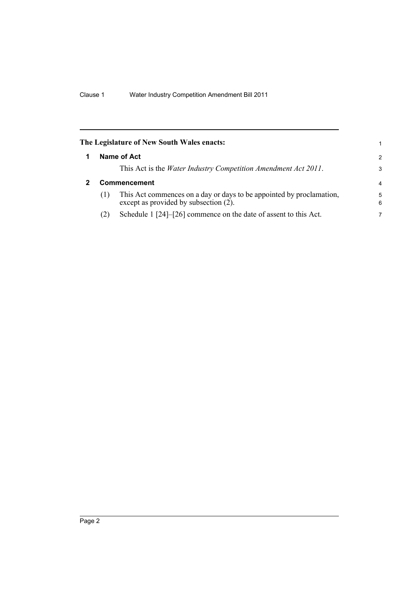<span id="page-9-1"></span><span id="page-9-0"></span>

|     | The Legislature of New South Wales enacts:                                                                    | 1             |
|-----|---------------------------------------------------------------------------------------------------------------|---------------|
|     | Name of Act                                                                                                   | $\mathcal{P}$ |
|     | This Act is the <i>Water Industry Competition Amendment Act 2011</i> .                                        | 3             |
|     | <b>Commencement</b>                                                                                           | 4             |
| (1) | This Act commences on a day or days to be appointed by proclamation,<br>except as provided by subsection (2). | 5<br>6        |
| (2) | Schedule 1 [24]–[26] commence on the date of assent to this Act.                                              | 7             |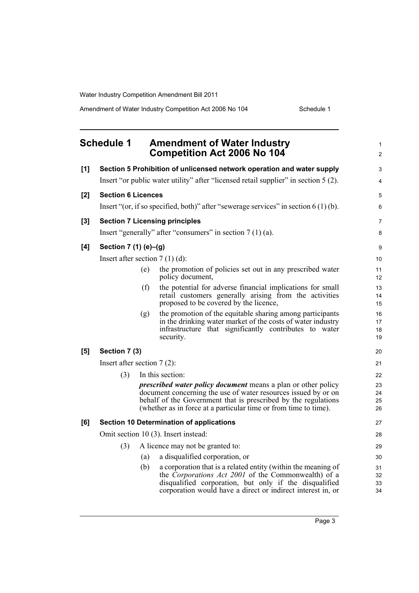<span id="page-10-0"></span>

|     | <b>Schedule 1</b>                |     | <b>Amendment of Water Industry</b><br><b>Competition Act 2006 No 104</b>                                                                                                                                                                                                                         | $\mathbf{1}$<br>$\overline{2}$ |
|-----|----------------------------------|-----|--------------------------------------------------------------------------------------------------------------------------------------------------------------------------------------------------------------------------------------------------------------------------------------------------|--------------------------------|
| [1] |                                  |     | Section 5 Prohibition of unlicensed network operation and water supply                                                                                                                                                                                                                           | 3                              |
|     |                                  |     | Insert "or public water utility" after "licensed retail supplier" in section 5 (2).                                                                                                                                                                                                              | $\overline{4}$                 |
| [2] | <b>Section 6 Licences</b>        |     |                                                                                                                                                                                                                                                                                                  | 5                              |
|     |                                  |     | Insert "(or, if so specified, both)" after "sewerage services" in section $6(1)(b)$ .                                                                                                                                                                                                            | 6                              |
| [3] |                                  |     | <b>Section 7 Licensing principles</b>                                                                                                                                                                                                                                                            | $\overline{7}$                 |
|     |                                  |     | Insert "generally" after "consumers" in section $7(1)(a)$ .                                                                                                                                                                                                                                      | 8                              |
| [4] | Section 7 (1) (e)-(g)            |     |                                                                                                                                                                                                                                                                                                  | 9                              |
|     | Insert after section $7(1)(d)$ : |     |                                                                                                                                                                                                                                                                                                  | 10                             |
|     |                                  | (e) | the promotion of policies set out in any prescribed water<br>policy document,                                                                                                                                                                                                                    | 11<br>12                       |
|     |                                  | (f) | the potential for adverse financial implications for small<br>retail customers generally arising from the activities<br>proposed to be covered by the licence,                                                                                                                                   | 13<br>14<br>15                 |
|     |                                  | (g) | the promotion of the equitable sharing among participants<br>in the drinking water market of the costs of water industry<br>infrastructure that significantly contributes to water<br>security.                                                                                                  | 16<br>17<br>18<br>19           |
| [5] | Section 7 (3)                    |     |                                                                                                                                                                                                                                                                                                  | 20                             |
|     | Insert after section $7(2)$ :    |     |                                                                                                                                                                                                                                                                                                  | 21                             |
|     | (3)                              |     | In this section:<br><i>prescribed water policy document</i> means a plan or other policy<br>document concerning the use of water resources issued by or on<br>behalf of the Government that is prescribed by the regulations<br>(whether as in force at a particular time or from time to time). | 22<br>23<br>24<br>25<br>26     |
| [6] |                                  |     | <b>Section 10 Determination of applications</b>                                                                                                                                                                                                                                                  | 27                             |
|     |                                  |     | Omit section 10 (3). Insert instead:                                                                                                                                                                                                                                                             | 28                             |
|     | (3)                              |     | A licence may not be granted to:                                                                                                                                                                                                                                                                 | 29                             |
|     |                                  | (a) | a disqualified corporation, or                                                                                                                                                                                                                                                                   | 30                             |
|     |                                  | (b) | a corporation that is a related entity (within the meaning of<br>the <i>Corporations Act 2001</i> of the Commonwealth) of a<br>disqualified corporation, but only if the disqualified<br>corporation would have a direct or indirect interest in, or                                             | 31<br>32<br>33<br>34           |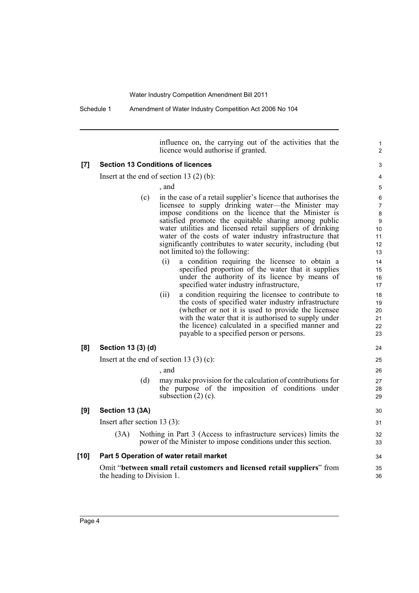Schedule 1 Amendment of Water Industry Competition Act 2006 No 104

influence on, the carrying out of the activities that the licence would authorise if granted.

1  $\overline{2}$ 

## **[7] Section 13 Conditions of licences**

Insert at the end of section 13 (2) (b):

, and

- (c) in the case of a retail supplier's licence that authorises the licensee to supply drinking water—the Minister may impose conditions on the licence that the Minister is satisfied promote the equitable sharing among public water utilities and licensed retail suppliers of drinking water of the costs of water industry infrastructure that significantly contributes to water security, including (but not limited to) the following:
	- (i) a condition requiring the licensee to obtain a specified proportion of the water that it supplies under the authority of its licence by means of specified water industry infrastructure,
	- (ii) a condition requiring the licensee to contribute to the costs of specified water industry infrastructure (whether or not it is used to provide the licensee with the water that it is authorised to supply under the licence) calculated in a specified manner and payable to a specified person or persons.

### **[8] Section 13 (3) (d)**

Insert at the end of section 13 $(3)(c)$ :

, and

(d) may make provision for the calculation of contributions for the purpose of the imposition of conditions under subsection  $(2)$  (c).

## **[9] Section 13 (3A)**

Insert after section 13 (3):

(3A) Nothing in Part 3 (Access to infrastructure services) limits the power of the Minister to impose conditions under this section.

### **[10] Part 5 Operation of water retail market**

Omit "**between small retail customers and licensed retail suppliers**" from the heading to Division 1.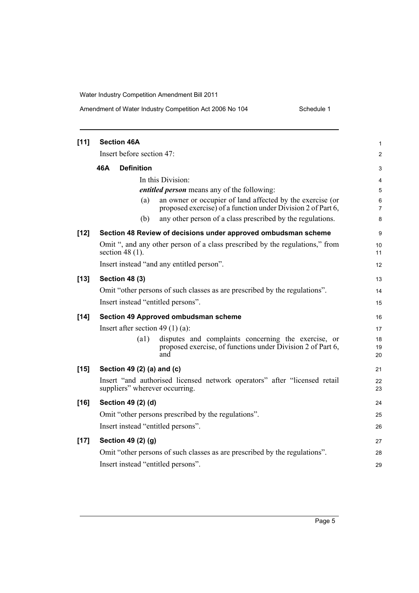## Amendment of Water Industry Competition Act 2006 No 104 Schedule 1

| $[11]$ | <b>Section 46A</b>                                                                                                                | 1              |  |  |  |
|--------|-----------------------------------------------------------------------------------------------------------------------------------|----------------|--|--|--|
|        | Insert before section 47:                                                                                                         |                |  |  |  |
|        | 46A<br><b>Definition</b>                                                                                                          | $\overline{c}$ |  |  |  |
|        |                                                                                                                                   | 3              |  |  |  |
|        | In this Division:                                                                                                                 | 4              |  |  |  |
|        | <i>entitled person</i> means any of the following:                                                                                | 5              |  |  |  |
|        | an owner or occupier of land affected by the exercise (or<br>(a)<br>proposed exercise) of a function under Division 2 of Part 6,  | 6<br>7         |  |  |  |
|        | any other person of a class prescribed by the regulations.<br>(b)                                                                 | 8              |  |  |  |
| $[12]$ | Section 48 Review of decisions under approved ombudsman scheme                                                                    | 9              |  |  |  |
|        | Omit ", and any other person of a class prescribed by the regulations," from<br>section 48 $(1)$ .                                | 10<br>11       |  |  |  |
|        | Insert instead "and any entitled person".                                                                                         | 12             |  |  |  |
| $[13]$ | <b>Section 48 (3)</b>                                                                                                             | 13             |  |  |  |
|        | Omit "other persons of such classes as are prescribed by the regulations".                                                        | 14             |  |  |  |
|        | Insert instead "entitled persons".                                                                                                | 15             |  |  |  |
| [14]   | Section 49 Approved ombudsman scheme                                                                                              | 16             |  |  |  |
|        | Insert after section 49 $(1)$ (a):                                                                                                | 17             |  |  |  |
|        | (a1)<br>disputes and complaints concerning the exercise, or<br>proposed exercise, of functions under Division 2 of Part 6,<br>and | 18<br>19<br>20 |  |  |  |
| $[15]$ | Section 49 (2) (a) and (c)                                                                                                        | 21             |  |  |  |
|        | Insert "and authorised licensed network operators" after "licensed retail<br>suppliers" wherever occurring.                       | 22<br>23       |  |  |  |
| $[16]$ | Section 49 (2) (d)                                                                                                                | 24             |  |  |  |
|        | Omit "other persons prescribed by the regulations".                                                                               | 25             |  |  |  |
|        | Insert instead "entitled persons".                                                                                                | 26             |  |  |  |
| $[17]$ | Section 49 (2) (g)                                                                                                                | 27             |  |  |  |
|        | Omit "other persons of such classes as are prescribed by the regulations".                                                        | 28             |  |  |  |
|        | Insert instead "entitled persons".                                                                                                | 29             |  |  |  |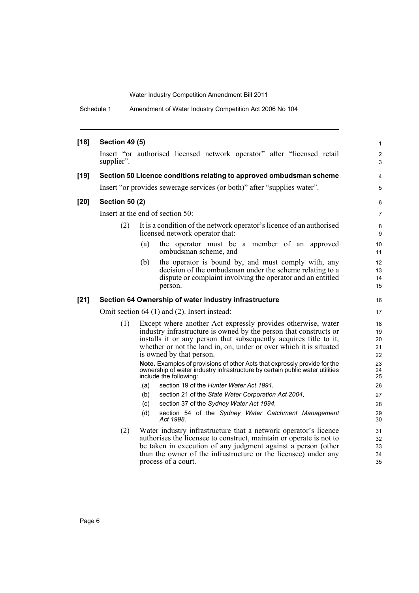Schedule 1 Amendment of Water Industry Competition Act 2006 No 104

| $[18]$ | <b>Section 49 (5)</b> |                                                                                                                                                                                                                                                                                                                                                                                                                                                                                                                                                                                                                  | 1                                                        |
|--------|-----------------------|------------------------------------------------------------------------------------------------------------------------------------------------------------------------------------------------------------------------------------------------------------------------------------------------------------------------------------------------------------------------------------------------------------------------------------------------------------------------------------------------------------------------------------------------------------------------------------------------------------------|----------------------------------------------------------|
|        | supplier".            | Insert "or authorised licensed network operator" after "licensed retail                                                                                                                                                                                                                                                                                                                                                                                                                                                                                                                                          | 2<br>3                                                   |
| $[19]$ |                       | Section 50 Licence conditions relating to approved ombudsman scheme                                                                                                                                                                                                                                                                                                                                                                                                                                                                                                                                              | 4                                                        |
|        |                       | Insert "or provides sewerage services (or both)" after "supplies water".                                                                                                                                                                                                                                                                                                                                                                                                                                                                                                                                         | 5                                                        |
| $[20]$ | <b>Section 50 (2)</b> |                                                                                                                                                                                                                                                                                                                                                                                                                                                                                                                                                                                                                  | 6                                                        |
|        |                       | Insert at the end of section 50:                                                                                                                                                                                                                                                                                                                                                                                                                                                                                                                                                                                 | $\overline{7}$                                           |
|        | (2)                   | It is a condition of the network operator's licence of an authorised<br>licensed network operator that:                                                                                                                                                                                                                                                                                                                                                                                                                                                                                                          | 8<br>9                                                   |
|        |                       | the operator must be a member of an approved<br>(a)<br>ombudsman scheme, and                                                                                                                                                                                                                                                                                                                                                                                                                                                                                                                                     | 10<br>11                                                 |
|        |                       | the operator is bound by, and must comply with, any<br>(b)<br>decision of the ombudsman under the scheme relating to a<br>dispute or complaint involving the operator and an entitled<br>person.                                                                                                                                                                                                                                                                                                                                                                                                                 | 12<br>13<br>14<br>15                                     |
| $[21]$ |                       | Section 64 Ownership of water industry infrastructure                                                                                                                                                                                                                                                                                                                                                                                                                                                                                                                                                            | 16                                                       |
|        |                       | Omit section 64 (1) and (2). Insert instead:                                                                                                                                                                                                                                                                                                                                                                                                                                                                                                                                                                     | 17                                                       |
|        | (1)                   | Except where another Act expressly provides otherwise, water<br>industry infrastructure is owned by the person that constructs or<br>installs it or any person that subsequently acquires title to it,<br>whether or not the land in, on, under or over which it is situated<br>is owned by that person.<br>Note. Examples of provisions of other Acts that expressly provide for the<br>ownership of water industry infrastructure by certain public water utilities<br>include the following:<br>section 19 of the Hunter Water Act 1991,<br>(a)<br>section 21 of the State Water Corporation Act 2004,<br>(b) | 18<br>19<br>20<br>21<br>22<br>23<br>24<br>25<br>26<br>27 |
|        |                       | section 37 of the Sydney Water Act 1994,<br>(c)<br>section 54 of the Sydney Water Catchment Management<br>(d)<br>Act 1998.                                                                                                                                                                                                                                                                                                                                                                                                                                                                                       | 28<br>29<br>30                                           |
|        | (2)                   | Water industry infrastructure that a network operator's licence<br>authorises the licensee to construct, maintain or operate is not to<br>be taken in execution of any judgment against a person (other<br>than the owner of the infrastructure or the licensee) under any<br>process of a court.                                                                                                                                                                                                                                                                                                                | 31<br>32<br>33<br>34<br>35                               |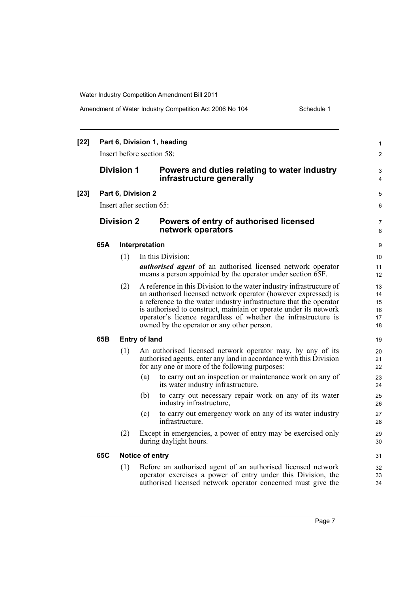| Amendment of Water Industry Competition Act 2006 No 104 |  |
|---------------------------------------------------------|--|
|---------------------------------------------------------|--|

Schedule 1

| $[22]$ | Part 6, Division 1, heading<br>Insert before section 58: |                   |                                                                                                                                                                                                                                                                                                                                                                                                   | $\mathbf{1}$<br>2                |
|--------|----------------------------------------------------------|-------------------|---------------------------------------------------------------------------------------------------------------------------------------------------------------------------------------------------------------------------------------------------------------------------------------------------------------------------------------------------------------------------------------------------|----------------------------------|
|        |                                                          | <b>Division 1</b> | Powers and duties relating to water industry<br>infrastructure generally                                                                                                                                                                                                                                                                                                                          | 3<br>4                           |
| $[23]$ |                                                          |                   | Part 6, Division 2                                                                                                                                                                                                                                                                                                                                                                                | 5                                |
|        |                                                          |                   | Insert after section 65:                                                                                                                                                                                                                                                                                                                                                                          | 6                                |
|        |                                                          | <b>Division 2</b> | Powers of entry of authorised licensed<br>network operators                                                                                                                                                                                                                                                                                                                                       | 7<br>8                           |
|        | 65A                                                      |                   | Interpretation                                                                                                                                                                                                                                                                                                                                                                                    | 9                                |
|        |                                                          | (1)               | In this Division:<br><i>authorised agent</i> of an authorised licensed network operator<br>means a person appointed by the operator under section 65F.                                                                                                                                                                                                                                            | 10<br>11<br>12                   |
|        |                                                          | (2)               | A reference in this Division to the water industry infrastructure of<br>an authorised licensed network operator (however expressed) is<br>a reference to the water industry infrastructure that the operator<br>is authorised to construct, maintain or operate under its network<br>operator's licence regardless of whether the infrastructure is<br>owned by the operator or any other person. | 13<br>14<br>15<br>16<br>17<br>18 |
|        | 65B                                                      |                   | <b>Entry of land</b>                                                                                                                                                                                                                                                                                                                                                                              | 19                               |
|        |                                                          | (1)               | An authorised licensed network operator may, by any of its<br>authorised agents, enter any land in accordance with this Division<br>for any one or more of the following purposes:                                                                                                                                                                                                                | 20<br>21<br>22                   |
|        |                                                          |                   | to carry out an inspection or maintenance work on any of<br>(a)<br>its water industry infrastructure,                                                                                                                                                                                                                                                                                             | 23<br>24                         |
|        |                                                          |                   | (b)<br>to carry out necessary repair work on any of its water<br>industry infrastructure,                                                                                                                                                                                                                                                                                                         | 25<br>26                         |
|        |                                                          |                   | (c)<br>to carry out emergency work on any of its water industry<br>infrastructure.                                                                                                                                                                                                                                                                                                                | 27<br>28                         |
|        |                                                          | (2)               | Except in emergencies, a power of entry may be exercised only<br>during daylight hours.                                                                                                                                                                                                                                                                                                           | 29<br>30                         |
|        | 65C                                                      |                   | Notice of entry                                                                                                                                                                                                                                                                                                                                                                                   | 31                               |
|        |                                                          | (1)               | Before an authorised agent of an authorised licensed network<br>operator exercises a power of entry under this Division, the<br>authorised licensed network operator concerned must give the                                                                                                                                                                                                      | 32<br>33<br>34                   |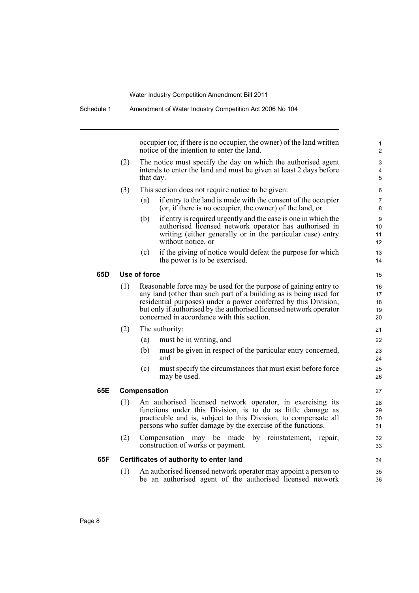|     |     | occupier (or, if there is no occupier, the owner) of the land written<br>notice of the intention to enter the land.                                                                                                                                                                                                          |  |
|-----|-----|------------------------------------------------------------------------------------------------------------------------------------------------------------------------------------------------------------------------------------------------------------------------------------------------------------------------------|--|
|     | (2) | The notice must specify the day on which the authorised agent<br>intends to enter the land and must be given at least 2 days before<br>that day.                                                                                                                                                                             |  |
|     | (3) | This section does not require notice to be given:                                                                                                                                                                                                                                                                            |  |
|     |     | if entry to the land is made with the consent of the occupier<br>(a)<br>(or, if there is no occupier, the owner) of the land, or                                                                                                                                                                                             |  |
|     |     | if entry is required urgently and the case is one in which the<br>(b)<br>authorised licensed network operator has authorised in<br>writing (either generally or in the particular case) entry<br>without notice, or                                                                                                          |  |
|     |     | if the giving of notice would defeat the purpose for which<br>(c)<br>the power is to be exercised.                                                                                                                                                                                                                           |  |
| 65D |     | Use of force                                                                                                                                                                                                                                                                                                                 |  |
|     | (1) | Reasonable force may be used for the purpose of gaining entry to<br>any land (other than such part of a building as is being used for<br>residential purposes) under a power conferred by this Division,<br>but only if authorised by the authorised licensed network operator<br>concerned in accordance with this section. |  |
|     | (2) | The authority:                                                                                                                                                                                                                                                                                                               |  |
|     |     | must be in writing, and<br>(a)                                                                                                                                                                                                                                                                                               |  |
|     |     | must be given in respect of the particular entry concerned,<br>(b)<br>and                                                                                                                                                                                                                                                    |  |
|     |     | (c)<br>must specify the circumstances that must exist before force<br>may be used.                                                                                                                                                                                                                                           |  |
| 65E |     | Compensation                                                                                                                                                                                                                                                                                                                 |  |
|     | (1) | An authorised licensed network operator, in exercising its<br>functions under this Division, is to do as little damage as<br>practicable and is, subject to this Division, to compensate all<br>persons who suffer damage by the exercise of the functions.                                                                  |  |
|     | (2) | Compensation may be made by reinstatement, repair,<br>construction of works or payment.                                                                                                                                                                                                                                      |  |
| 65F |     | Certificates of authority to enter land                                                                                                                                                                                                                                                                                      |  |
|     | (1) | An authorised licensed network operator may appoint a person to                                                                                                                                                                                                                                                              |  |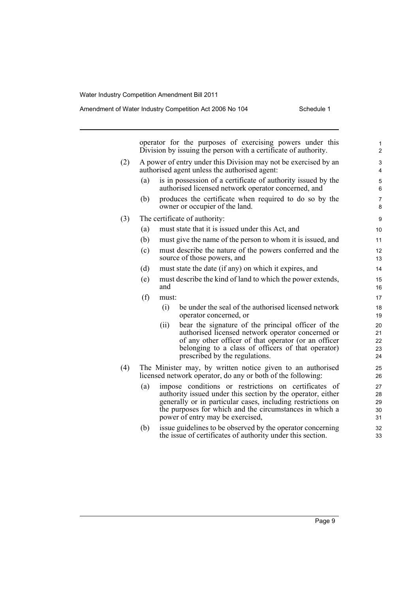|     |     |       | operator for the purposes of exercising powers under this<br>Division by issuing the person with a certificate of authority.                                                                                                                                                      | 1<br>$\overline{c}$        |
|-----|-----|-------|-----------------------------------------------------------------------------------------------------------------------------------------------------------------------------------------------------------------------------------------------------------------------------------|----------------------------|
| (2) |     |       | A power of entry under this Division may not be exercised by an<br>authorised agent unless the authorised agent:                                                                                                                                                                  | 3<br>4                     |
|     | (a) |       | is in possession of a certificate of authority issued by the<br>authorised licensed network operator concerned, and                                                                                                                                                               | 5<br>6                     |
|     | (b) |       | produces the certificate when required to do so by the<br>owner or occupier of the land.                                                                                                                                                                                          | 7<br>8                     |
| (3) |     |       | The certificate of authority:                                                                                                                                                                                                                                                     | 9                          |
|     | (a) |       | must state that it is issued under this Act, and                                                                                                                                                                                                                                  | 10                         |
|     | (b) |       | must give the name of the person to whom it is issued, and                                                                                                                                                                                                                        | 11                         |
|     | (c) |       | must describe the nature of the powers conferred and the<br>source of those powers, and                                                                                                                                                                                           | 12<br>13                   |
|     | (d) |       | must state the date (if any) on which it expires, and                                                                                                                                                                                                                             | 14                         |
|     | (e) | and   | must describe the kind of land to which the power extends,                                                                                                                                                                                                                        | 15<br>16                   |
|     | (f) | must: |                                                                                                                                                                                                                                                                                   | 17                         |
|     |     | (i)   | be under the seal of the authorised licensed network<br>operator concerned, or                                                                                                                                                                                                    | 18<br>19                   |
|     |     | (ii)  | bear the signature of the principal officer of the<br>authorised licensed network operator concerned or<br>of any other officer of that operator (or an officer<br>belonging to a class of officers of that operator)<br>prescribed by the regulations.                           | 20<br>21<br>22<br>23<br>24 |
| (4) |     |       | The Minister may, by written notice given to an authorised<br>licensed network operator, do any or both of the following:                                                                                                                                                         | 25<br>26                   |
|     | (a) |       | impose conditions or restrictions on certificates of<br>authority issued under this section by the operator, either<br>generally or in particular cases, including restrictions on<br>the purposes for which and the circumstances in which a<br>power of entry may be exercised, | 27<br>28<br>29<br>30<br>31 |
|     | (b) |       | issue guidelines to be observed by the operator concerning<br>the issue of certificates of authority under this section.                                                                                                                                                          | 32<br>33                   |
|     |     |       |                                                                                                                                                                                                                                                                                   |                            |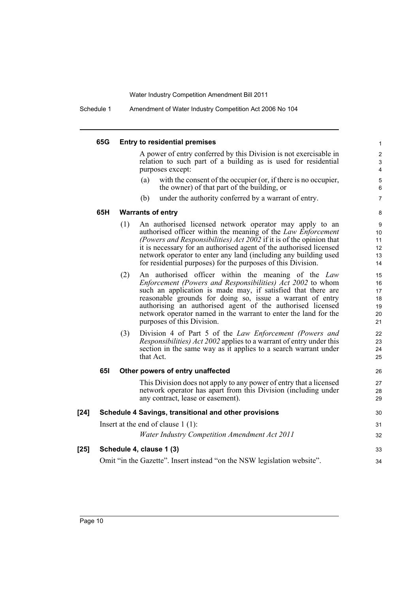Schedule 1 Amendment of Water Industry Competition Act 2006 No 104

|      | 65G        |     | <b>Entry to residential premises</b>                                                                                                                                                                                                                                                                                                                                                                          | $\mathbf{1}$                                     |
|------|------------|-----|---------------------------------------------------------------------------------------------------------------------------------------------------------------------------------------------------------------------------------------------------------------------------------------------------------------------------------------------------------------------------------------------------------------|--------------------------------------------------|
|      |            |     | A power of entry conferred by this Division is not exercisable in<br>relation to such part of a building as is used for residential<br>purposes except:                                                                                                                                                                                                                                                       | $\overline{c}$<br>$\ensuremath{\mathsf{3}}$<br>4 |
|      |            |     | with the consent of the occupier (or, if there is no occupier,<br>(a)<br>the owner) of that part of the building, or                                                                                                                                                                                                                                                                                          | 5<br>6                                           |
|      |            |     | (b)<br>under the authority conferred by a warrant of entry.                                                                                                                                                                                                                                                                                                                                                   | $\overline{7}$                                   |
|      | 65H        |     | <b>Warrants of entry</b>                                                                                                                                                                                                                                                                                                                                                                                      | 8                                                |
|      |            | (1) | An authorised licensed network operator may apply to an<br>authorised officer within the meaning of the Law Enforcement<br>(Powers and Responsibilities) Act 2002 if it is of the opinion that<br>it is necessary for an authorised agent of the authorised licensed<br>network operator to enter any land (including any building used<br>for residential purposes) for the purposes of this Division.       | $\boldsymbol{9}$<br>10<br>11<br>12<br>13<br>14   |
|      |            | (2) | An authorised officer within the meaning of the Law<br>Enforcement (Powers and Responsibilities) Act 2002 to whom<br>such an application is made may, if satisfied that there are<br>reasonable grounds for doing so, issue a warrant of entry<br>authorising an authorised agent of the authorised licensed<br>network operator named in the warrant to enter the land for the<br>purposes of this Division. | 15<br>16<br>17<br>18<br>19<br>20<br>21           |
|      |            | (3) | Division 4 of Part 5 of the Law Enforcement (Powers and<br><i>Responsibilities) Act 2002</i> applies to a warrant of entry under this<br>section in the same way as it applies to a search warrant under<br>that Act.                                                                                                                                                                                         | 22<br>23<br>24<br>25                             |
|      | <b>651</b> |     | Other powers of entry unaffected                                                                                                                                                                                                                                                                                                                                                                              | 26                                               |
|      |            |     | This Division does not apply to any power of entry that a licensed<br>network operator has apart from this Division (including under<br>any contract, lease or easement).                                                                                                                                                                                                                                     | 27<br>28<br>29                                   |
| [24] |            |     | Schedule 4 Savings, transitional and other provisions                                                                                                                                                                                                                                                                                                                                                         | 30                                               |
|      |            |     | Insert at the end of clause $1(1)$ :                                                                                                                                                                                                                                                                                                                                                                          | 31                                               |
|      |            |     | <b>Water Industry Competition Amendment Act 2011</b>                                                                                                                                                                                                                                                                                                                                                          | 32                                               |
| [25] |            |     | Schedule 4, clause 1 (3)                                                                                                                                                                                                                                                                                                                                                                                      | 33                                               |
|      |            |     | Omit "in the Gazette". Insert instead "on the NSW legislation website".                                                                                                                                                                                                                                                                                                                                       | 34                                               |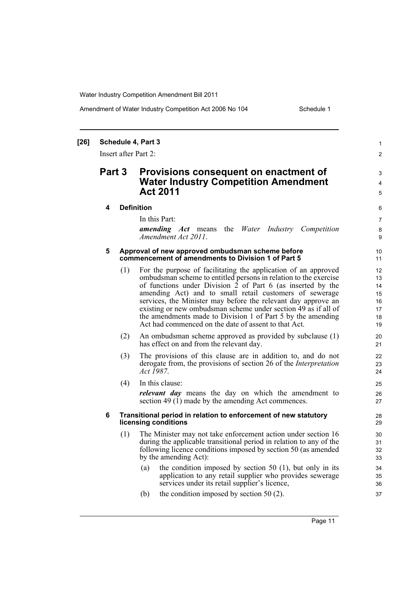### Amendment of Water Industry Competition Act 2006 No 104 Schedule 1

#### **[26] Schedule 4, Part 3** Insert after Part 2: **Part 3 Provisions consequent on enactment of Water Industry Competition Amendment Act 2011 4 Definition** In this Part: *amending Act* means the *Water Industry Competition Amendment Act 2011*. **5 Approval of new approved ombudsman scheme before commencement of amendments to Division 1 of Part 5** (1) For the purpose of facilitating the application of an approved ombudsman scheme to entitled persons in relation to the exercise of functions under Division  $\hat{2}$  of Part 6 (as inserted by the amending Act) and to small retail customers of sewerage services, the Minister may before the relevant day approve an existing or new ombudsman scheme under section 49 as if all of the amendments made to Division 1 of Part 5 by the amending Act had commenced on the date of assent to that Act. (2) An ombudsman scheme approved as provided by subclause (1) has effect on and from the relevant day. (3) The provisions of this clause are in addition to, and do not derogate from, the provisions of section 26 of the *Interpretation Act 1987*. (4) In this clause: *relevant day* means the day on which the amendment to section 49 (1) made by the amending Act commences. **6 Transitional period in relation to enforcement of new statutory licensing conditions** (1) The Minister may not take enforcement action under section 16 during the applicable transitional period in relation to any of the following licence conditions imposed by section 50 (as amended by the amending Act): (a) the condition imposed by section 50 (1), but only in its application to any retail supplier who provides sewerage services under its retail supplier's licence, (b) the condition imposed by section 50 (2). 1  $\mathfrak{p}$ 3 4 5 6 7 8 **9** 10 11 12 13  $14$ 15 16 17 18 19  $20$ 21 22 23 24 25 26 27 28 29 30 31 32 33 34 35 36 37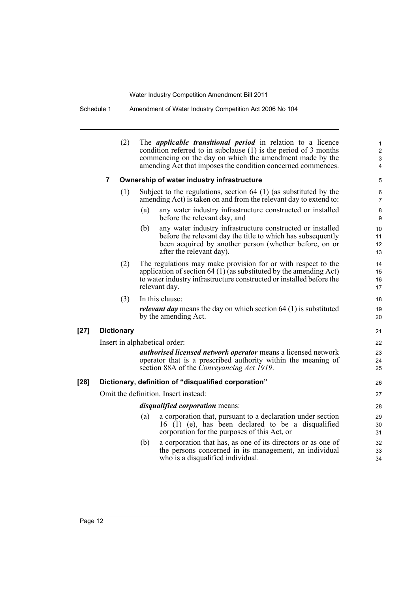Schedule 1 Amendment of Water Industry Competition Act 2006 No 104

|        | (2)               | The <i>applicable transitional period</i> in relation to a licence<br>condition referred to in subclause $(1)$ is the period of 3 months<br>commencing on the day on which the amendment made by the<br>amending Act that imposes the condition concerned commences. | 1<br>$\overline{\mathbf{c}}$<br>3<br>4 |
|--------|-------------------|----------------------------------------------------------------------------------------------------------------------------------------------------------------------------------------------------------------------------------------------------------------------|----------------------------------------|
|        | $\overline{7}$    | Ownership of water industry infrastructure                                                                                                                                                                                                                           | 5                                      |
|        | (1)               | Subject to the regulations, section $64$ (1) (as substituted by the<br>amending Act) is taken on and from the relevant day to extend to:                                                                                                                             | 6<br>7                                 |
|        |                   | (a)<br>any water industry infrastructure constructed or installed<br>before the relevant day, and                                                                                                                                                                    | 8<br>9                                 |
|        |                   | (b)<br>any water industry infrastructure constructed or installed<br>before the relevant day the title to which has subsequently<br>been acquired by another person (whether before, on or<br>after the relevant day).                                               | 10<br>11<br>12<br>13                   |
|        | (2)               | The regulations may make provision for or with respect to the<br>application of section 64 (1) (as substituted by the amending Act)<br>to water industry infrastructure constructed or installed before the<br>relevant day.                                         | 14<br>15<br>16<br>17                   |
|        | (3)               | In this clause:                                                                                                                                                                                                                                                      | 18                                     |
|        |                   | <i>relevant day</i> means the day on which section $64$ (1) is substituted<br>by the amending Act.                                                                                                                                                                   | 19<br>20                               |
| $[27]$ | <b>Dictionary</b> |                                                                                                                                                                                                                                                                      | 21                                     |
|        |                   | Insert in alphabetical order:                                                                                                                                                                                                                                        | 22                                     |
|        |                   | <i>authorised licensed network operator</i> means a licensed network<br>operator that is a prescribed authority within the meaning of<br>section 88A of the <i>Conveyancing Act 1919</i> .                                                                           | 23<br>24<br>25                         |
| $[28]$ |                   | Dictionary, definition of "disqualified corporation"                                                                                                                                                                                                                 | 26                                     |
|        |                   | Omit the definition. Insert instead:                                                                                                                                                                                                                                 | 27                                     |
|        |                   | <i>disqualified corporation</i> means:                                                                                                                                                                                                                               | 28                                     |
|        |                   | a corporation that, pursuant to a declaration under section<br>(a)<br>16 (1) (e), has been declared to be a disqualified<br>corporation for the purposes of this Act, or                                                                                             | 29<br>30<br>31                         |
|        |                   | a corporation that has, as one of its directors or as one of<br>(b)<br>the persons concerned in its management, an individual<br>who is a disqualified individual.                                                                                                   | 32<br>33<br>34                         |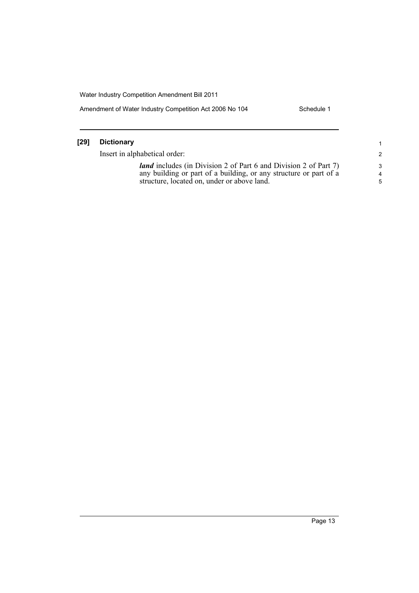Amendment of Water Industry Competition Act 2006 No 104 Schedule 1

| [29] | Dictionary                                                                                                                                                                                  |
|------|---------------------------------------------------------------------------------------------------------------------------------------------------------------------------------------------|
|      | Insert in alphabetical order:                                                                                                                                                               |
|      | <i>land</i> includes (in Division 2 of Part 6 and Division 2 of Part 7)<br>any building or part of a building, or any structure or part of a<br>structure, located on, under or above land. |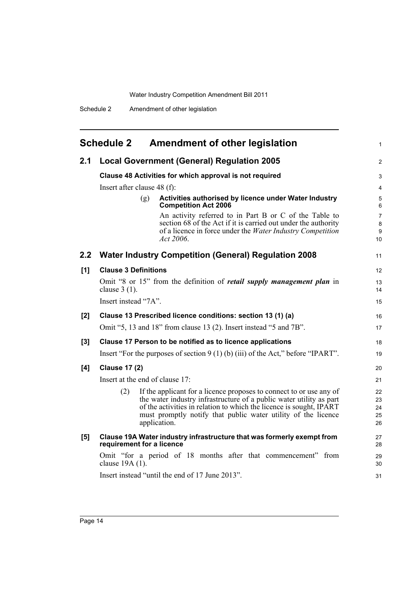<span id="page-21-0"></span>

| <b>Schedule 2</b><br><b>Amendment of other legislation</b> |                                                                                                                                                                                                                                                                                                           |                                |  |  |  |  |  |
|------------------------------------------------------------|-----------------------------------------------------------------------------------------------------------------------------------------------------------------------------------------------------------------------------------------------------------------------------------------------------------|--------------------------------|--|--|--|--|--|
| 2.1                                                        | <b>Local Government (General) Regulation 2005</b>                                                                                                                                                                                                                                                         | 2                              |  |  |  |  |  |
|                                                            | Clause 48 Activities for which approval is not required                                                                                                                                                                                                                                                   | 3                              |  |  |  |  |  |
|                                                            | Insert after clause $48$ (f):                                                                                                                                                                                                                                                                             | $\overline{4}$                 |  |  |  |  |  |
|                                                            | Activities authorised by licence under Water Industry<br>(g)<br><b>Competition Act 2006</b>                                                                                                                                                                                                               | 5<br>6                         |  |  |  |  |  |
|                                                            | An activity referred to in Part B or C of the Table to<br>section 68 of the Act if it is carried out under the authority<br>of a licence in force under the Water Industry Competition<br>Act 2006.                                                                                                       | $\overline{7}$<br>8<br>9<br>10 |  |  |  |  |  |
| 2.2                                                        | <b>Water Industry Competition (General) Regulation 2008</b>                                                                                                                                                                                                                                               |                                |  |  |  |  |  |
| [1]                                                        | <b>Clause 3 Definitions</b>                                                                                                                                                                                                                                                                               | 12                             |  |  |  |  |  |
|                                                            | Omit "8 or 15" from the definition of <i>retail supply management plan</i> in<br>clause $3(1)$ .                                                                                                                                                                                                          | 13<br>14                       |  |  |  |  |  |
|                                                            | Insert instead "7A".                                                                                                                                                                                                                                                                                      |                                |  |  |  |  |  |
| [2]                                                        | Clause 13 Prescribed licence conditions: section 13 (1) (a)                                                                                                                                                                                                                                               |                                |  |  |  |  |  |
|                                                            | Omit "5, 13 and 18" from clause 13 (2). Insert instead "5 and 7B".                                                                                                                                                                                                                                        |                                |  |  |  |  |  |
| $[3]$                                                      | Clause 17 Person to be notified as to licence applications                                                                                                                                                                                                                                                | 18                             |  |  |  |  |  |
|                                                            | Insert "For the purposes of section $9(1)$ (b) (iii) of the Act," before "IPART".                                                                                                                                                                                                                         |                                |  |  |  |  |  |
| [4]                                                        | <b>Clause 17 (2)</b>                                                                                                                                                                                                                                                                                      |                                |  |  |  |  |  |
|                                                            | Insert at the end of clause 17:                                                                                                                                                                                                                                                                           |                                |  |  |  |  |  |
|                                                            | If the applicant for a licence proposes to connect to or use any of<br>(2)<br>the water industry infrastructure of a public water utility as part<br>of the activities in relation to which the licence is sought, IPART<br>must promptly notify that public water utility of the licence<br>application. | 22<br>23<br>24<br>25<br>26     |  |  |  |  |  |
| [5]                                                        | Clause 19A Water industry infrastructure that was formerly exempt from<br>requirement for a licence                                                                                                                                                                                                       |                                |  |  |  |  |  |
|                                                            | Omit "for a period of 18 months after that commencement" from<br>clause 19A (1).                                                                                                                                                                                                                          | 29<br>30                       |  |  |  |  |  |
|                                                            | Insert instead "until the end of 17 June 2013".                                                                                                                                                                                                                                                           | 31                             |  |  |  |  |  |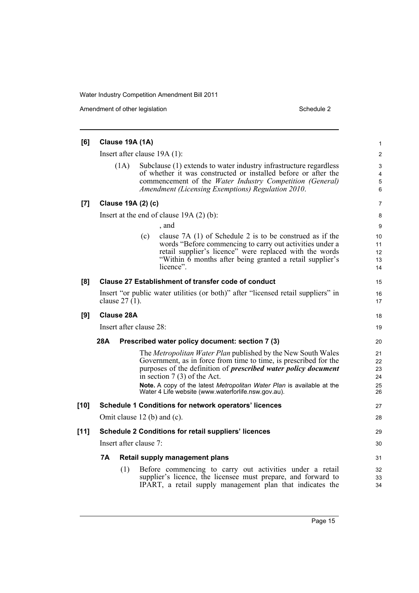Amendment of other legislation Schedule 2

| [6]    | Clause 19A (1A)                                                                                       |                                                                                                                                                                                                                                                                                                                                                                             |                                  |  |  |  |
|--------|-------------------------------------------------------------------------------------------------------|-----------------------------------------------------------------------------------------------------------------------------------------------------------------------------------------------------------------------------------------------------------------------------------------------------------------------------------------------------------------------------|----------------------------------|--|--|--|
|        | Insert after clause $19A(1)$ :                                                                        |                                                                                                                                                                                                                                                                                                                                                                             |                                  |  |  |  |
|        | (1A)                                                                                                  | Subclause (1) extends to water industry infrastructure regardless<br>of whether it was constructed or installed before or after the<br>commencement of the Water Industry Competition (General)<br>Amendment (Licensing Exemptions) Regulation 2010.                                                                                                                        |                                  |  |  |  |
| $[7]$  | Clause 19A (2) (c)                                                                                    |                                                                                                                                                                                                                                                                                                                                                                             |                                  |  |  |  |
|        | Insert at the end of clause $19A(2)(b)$ :                                                             |                                                                                                                                                                                                                                                                                                                                                                             |                                  |  |  |  |
|        |                                                                                                       | , and                                                                                                                                                                                                                                                                                                                                                                       | 9                                |  |  |  |
|        |                                                                                                       | clause $7A(1)$ of Schedule 2 is to be construed as if the<br>(c)<br>words "Before commencing to carry out activities under a<br>retail supplier's licence" were replaced with the words<br>"Within 6 months after being granted a retail supplier's<br>licence".                                                                                                            | 10<br>11<br>12<br>13<br>14       |  |  |  |
| [8]    | Clause 27 Establishment of transfer code of conduct                                                   |                                                                                                                                                                                                                                                                                                                                                                             |                                  |  |  |  |
|        | Insert "or public water utilities (or both)" after "licensed retail suppliers" in<br>clause $27(1)$ . |                                                                                                                                                                                                                                                                                                                                                                             |                                  |  |  |  |
| [9]    | Clause 28A                                                                                            |                                                                                                                                                                                                                                                                                                                                                                             |                                  |  |  |  |
|        | Insert after clause 28:                                                                               |                                                                                                                                                                                                                                                                                                                                                                             |                                  |  |  |  |
|        | 28A<br>Prescribed water policy document: section 7 (3)                                                |                                                                                                                                                                                                                                                                                                                                                                             |                                  |  |  |  |
|        |                                                                                                       | The Metropolitan Water Plan published by the New South Wales<br>Government, as in force from time to time, is prescribed for the<br>purposes of the definition of <i>prescribed water policy document</i><br>in section $7(3)$ of the Act.<br>Note. A copy of the latest Metropolitan Water Plan is available at the<br>Water 4 Life website (www.waterforlife.nsw.gov.au). | 21<br>22<br>23<br>24<br>25<br>26 |  |  |  |
| $[10]$ | Schedule 1 Conditions for network operators' licences                                                 |                                                                                                                                                                                                                                                                                                                                                                             |                                  |  |  |  |
|        | Omit clause 12 (b) and (c).                                                                           |                                                                                                                                                                                                                                                                                                                                                                             |                                  |  |  |  |
| $[11]$ | <b>Schedule 2 Conditions for retail suppliers' licences</b>                                           |                                                                                                                                                                                                                                                                                                                                                                             |                                  |  |  |  |
|        | Insert after clause 7:                                                                                |                                                                                                                                                                                                                                                                                                                                                                             |                                  |  |  |  |
|        | 7Α<br>Retail supply management plans                                                                  |                                                                                                                                                                                                                                                                                                                                                                             |                                  |  |  |  |
|        | (1)                                                                                                   | Before commencing to carry out activities under a retail<br>supplier's licence, the licensee must prepare, and forward to<br>IPART, a retail supply management plan that indicates the                                                                                                                                                                                      | 32<br>33<br>34                   |  |  |  |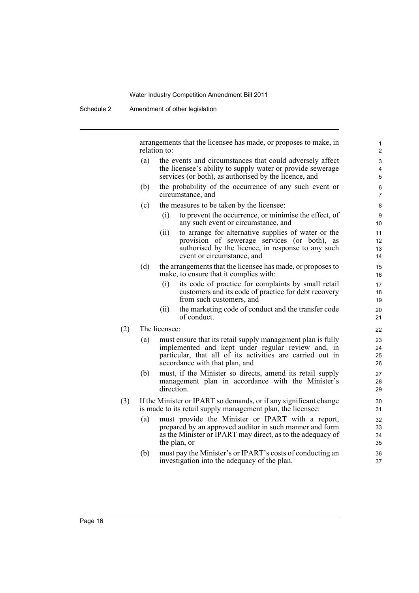Schedule 2 Amendment of other legislation

arrangements that the licensee has made, or proposes to make, in relation to:

- (a) the events and circumstances that could adversely affect the licensee's ability to supply water or provide sewerage services (or both), as authorised by the licence, and
- (b) the probability of the occurrence of any such event or circumstance, and
- (c) the measures to be taken by the licensee:
	- (i) to prevent the occurrence, or minimise the effect, of any such event or circumstance, and
	- (ii) to arrange for alternative supplies of water or the provision of sewerage services (or both), as authorised by the licence, in response to any such event or circumstance, and
- (d) the arrangements that the licensee has made, or proposes to make, to ensure that it complies with:
	- (i) its code of practice for complaints by small retail customers and its code of practice for debt recovery from such customers, and
	- (ii) the marketing code of conduct and the transfer code of conduct.
- (2) The licensee:
	- (a) must ensure that its retail supply management plan is fully implemented and kept under regular review and, in particular, that all of its activities are carried out in accordance with that plan, and
	- (b) must, if the Minister so directs, amend its retail supply management plan in accordance with the Minister's direction.
- (3) If the Minister or IPART so demands, or if any significant change is made to its retail supply management plan, the licensee:
	- (a) must provide the Minister or IPART with a report, prepared by an approved auditor in such manner and form as the Minister or IPART may direct, as to the adequacy of the plan, or
	- (b) must pay the Minister's or IPART's costs of conducting an investigation into the adequacy of the plan.